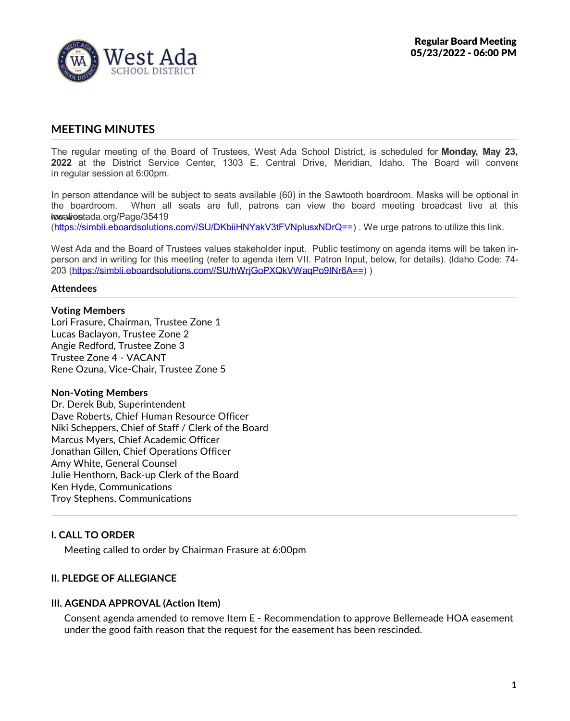

# **MEETING MINUTES**

The regular meeting of the Board of Trustees, West Ada School District, is scheduled for **Monday, May 23, 2022** at the District Service Center, 1303 E. Central Drive, Meridian, Idaho. The Board will convene in regular session at 6:00pm.

In person attendance will be subject to seats available (60) in the Sawtooth boardroom. Masks will be optional in the boardroom. When all seats are full, patrons can view the board meeting broadcast live at this  $\n *bovativestada.org/Page/35419*\n$ 

(https://simbli.eboardsolutions.com//SU/DKbiiHNYakV3tFVNplusxNDrQ==) . We urge patrons to utilize this link.

West Ada and the Board of Trustees values stakeholder input. Public testimony on agenda items will be taken in person and in writing for this meeting (refer to agenda item VII. Patron Input, below, for details). (Idaho Code: 74- 203 (https://simbli.eboardsolutions.com//SU/hWrjGoPXQkVWaqPo9INr6A==) )

#### **Attendees**

#### **Voting Members**

Lori Frasure, Chairman, Trustee Zone 1 Lucas Baclayon, Trustee Zone 2 Angie Redford, Trustee Zone 3 Trustee Zone 4 - VACANT Rene Ozuna, Vice-Chair, Trustee Zone 5

#### **Non-Voting Members**

Dr. Derek Bub, Superintendent Dave Roberts, Chief Human Resource Officer Niki Scheppers, Chief of Staff / Clerk of the Board Marcus Myers, Chief Academic Officer Jonathan Gillen, Chief Operations Officer Amy White, General Counsel Julie Henthorn, Back-up Clerk of the Board Ken Hyde, Communications Troy Stephens, Communications

### **I. CALL TO ORDER**

Meeting called to order by Chairman Frasure at 6:00pm

#### **II. PLEDGE OF ALLEGIANCE**

#### **III. AGENDA APPROVAL (Action Item)**

Consent agenda amended to remove Item E - Recommendation to approve Bellemeade HOA easement under the good faith reason that the request for the easement has been rescinded.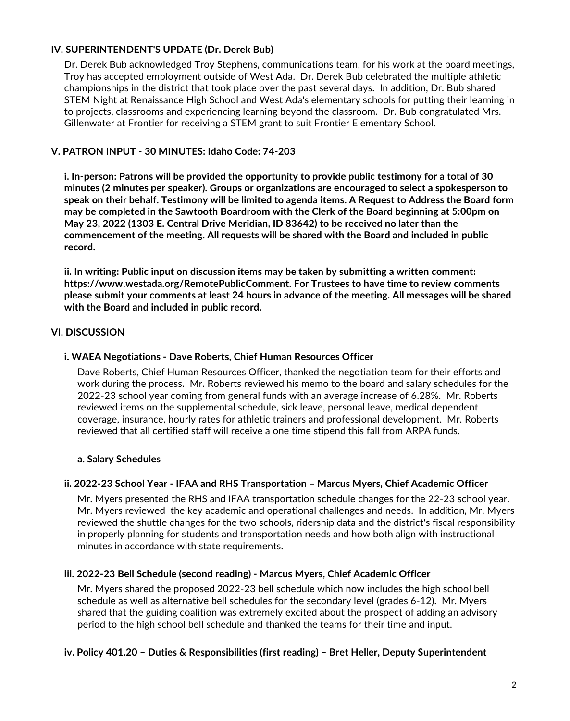# **IV. SUPERINTENDENT'S UPDATE (Dr. Derek Bub)**

Dr. Derek Bub acknowledged Troy Stephens, communications team, for his work at the board meetings, Troy has accepted employment outside of West Ada. Dr. Derek Bub celebrated the multiple athletic championships in the district that took place over the past several days. In addition, Dr. Bub shared STEM Night at Renaissance High School and West Ada's elementary schools for putting their learning in to projects, classrooms and experiencing learning beyond the classroom. Dr. Bub congratulated Mrs.<br>Gillenwater at Frontier for receiving a STEM grant to suit Frontier Elementary School.

## **V. PATRON INPUT - 30 MINUTES: Idaho Code: 74-203**

**i. In-person: Patrons will be provided the opportunity to provide public testimony for a total of 30 minutes (2 minutes per speaker). Groups or organizations are encouraged to select a spokesperson to** speak on their behalf. Testimony will be limited to agenda items. A Request to Address the Board form **may be completed in the Sawtooth Boardroom with the Clerk of the Board beginning at 5:00pm on May 23, 2022 (1303 E. Central Drive Meridian, ID 83642) to be received no later than the commencement of the meeting. All requests will be shared with the Board and included in public record.**

**ii. In writing: Public input on discussion items may be taken by submitting a written comment: https://www.westada.org/RemotePublicComment. For Trustees to have time to review comments** please submit your comments at least 24 hours in advance of the meeting. All messages will be shared **with the Board and included in public record.**

### **VI. DISCUSSION**

## **i. WAEA Negotiations - Dave Roberts, Chief Human Resources Officer**

Dave Roberts, Chief Human Resources Officer, thanked the negotiation team for their efforts and work during the process. Mr. Roberts reviewed his memo to the board and salary schedules for the 2022-23 school year coming from general funds with an average increase of 6.28%. Mr. Roberts reviewed items on the supplemental schedule, sick leave, personal leave, medical dependent coverage, insurance, hourly rates for athletic trainers and professional development. Mr. Roberts reviewed that all certified staff will receive a one time stipend this fall from ARPA funds.

### **a. Salary Schedules**

### **ii. 2022-23 School Year - IFAA and RHS Transportation – Marcus Myers, Chief Academic Officer**

Mr. Myers presented the RHS and IFAA transportation schedule changes for the 22-23 school year.<br>Mr. Myers reviewed the key academic and operational challenges and needs. In addition, Mr. Myers reviewed the shuttle changes for the two schools, ridership data and the district's fiscal responsibility in properly planning for students and transportation needs and how both align with instructional minutes in accordance with state requirements.

### **iii. 2022-23 Bell Schedule (second reading) - Marcus Myers, Chief Academic Officer**

Mr. Myers shared the proposed 2022-23 bell schedule which now includes the high school bell schedule as well as alternative bell schedules for the secondary level (grades 6-12). Mr. Myers shared that the guiding coalition was extremely excited about the prospect of adding an advisory period to the high school bell schedule and thanked the teams for their time and input.

#### **iv. Policy 401.20 – Duties & Responsibilities (first reading) – Bret Heller, Deputy Superintendent**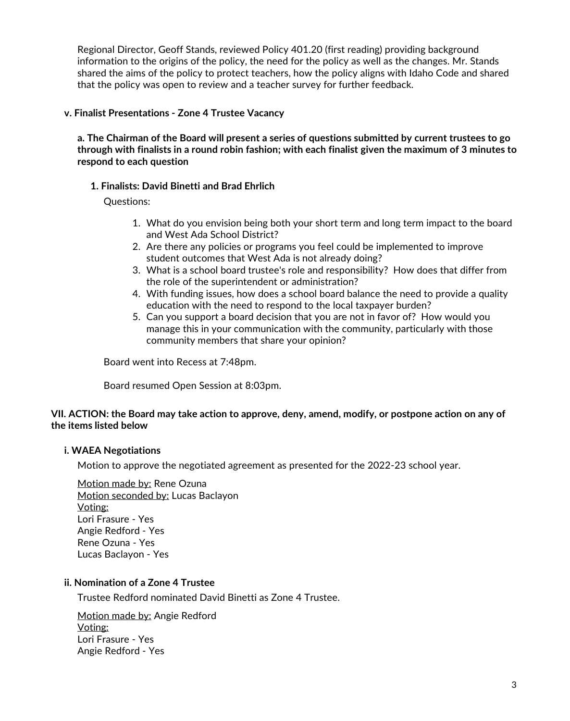Regional Director, Geoff Stands, reviewed Policy 401.20 (first reading) providing background information to the origins of the policy, the need for the policy as well as the changes. Mr. Stands shared the aims of the policy to protect teachers, how the policy aligns with Idaho Code and shared that the policy was open to review and a teacher survey for further feedback.

#### **v. Finalist Presentations - Zone 4 Trustee Vacancy**

a. The Chairman of the Board will present a series of questions submitted by current trustees to go through with finalists in a round robin fashion; with each finalist given the maximum of 3 minutes to **respond to each question**

### **1. Finalists: David Binetti and Brad Ehrlich**

Questions:

- 1. What do you envision being both your short term and long term impact to the board and West Ada School District?
- 2. Are there any policies or programs you feel could be implemented to improve student outcomes that West Ada is not already doing?
- 3. What is a school board trustee's role and responsibility? How does that differ from the role of the superintendent or administration?
- 4. With funding issues, how does a school board balance the need to provide a quality education with the need to respond to the local taxpayer burden?
- 5. Can you support a board decision that you are not in favor of? How would you manage this in your communication with the community, particularly with those community members that share your opinion?

Board went into Recess at 7:48pm.

Board resumed Open Session at 8:03pm.

### VII. ACTION: the Board may take action to approve, deny, amend, modify, or postpone action on any of **the items listed below**

### **i. WAEA Negotiations**

Motion to approve the negotiated agreement as presented for the 2022-23 school year.

Motion made by: Rene Ozuna Motion seconded by: Lucas Baclayon Voting: Lori Frasure - Yes Angie Redford - Yes Rene Ozuna - Yes Lucas Baclayon - Yes

#### **ii. Nomination of a Zone 4 Trustee**

Trustee Redford nominated David Binetti as Zone 4 Trustee.

Motion made by: Angie Redford Voting: Lori Frasure - Yes Angie Redford - Yes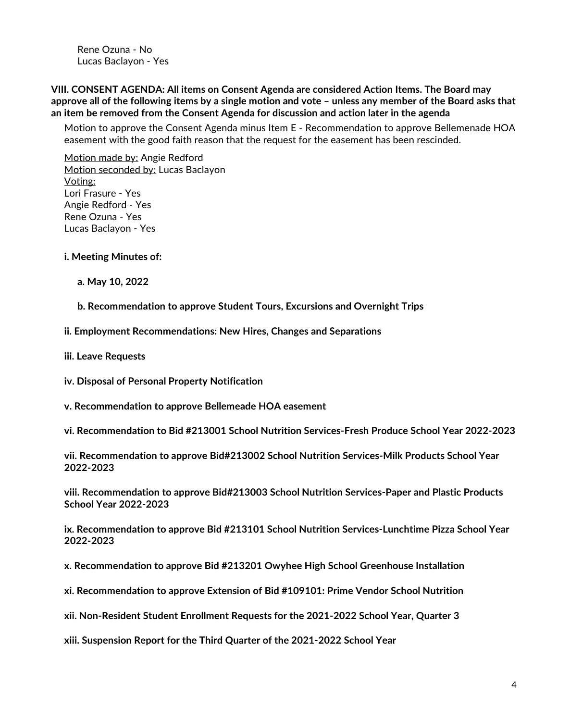Rene Ozuna - No Lucas Baclayon - Yes

**VIII. CONSENT AGENDA: All items on Consent Agenda are considered Action Items. The Board may** approve all of the following items by a single motion and vote – unless any member of the Board asks that **an item be removed from the Consent Agenda for discussion and action later in the agenda**

Motion to approve the Consent Agenda minus Item E - Recommendation to approve Bellemenade HOA easement with the good faith reason that the request for the easement has been rescinded.

Motion made by: Angie Redford Motion seconded by: Lucas Baclayon Voting: Lori Frasure - Yes Angie Redford - Yes Rene Ozuna - Yes Lucas Baclayon - Yes

**i. Meeting Minutes of:**

**a. May 10, 2022**

**b. Recommendation to approve Student Tours, Excursions and Overnight Trips**

**ii. Employment Recommendations: New Hires, Changes and Separations**

**iii. Leave Requests**

**iv. Disposal of Personal Property Notification**

**v. Recommendation to approve Bellemeade HOA easement**

**vi. Recommendation to Bid #213001 School Nutrition Services-Fresh Produce School Year 2022-2023**

**vii. Recommendation to approve Bid#213002 School Nutrition Services-Milk Products School Year 2022-2023**

**viii. Recommendation to approve Bid#213003 School Nutrition Services-Paper and Plastic Products School Year 2022-2023**

**ix. Recommendation to approve Bid #213101 School Nutrition Services-Lunchtime Pizza School Year 2022-2023**

**x. Recommendation to approve Bid #213201 Owyhee High School Greenhouse Installation**

**xi. Recommendation to approve Extension of Bid #109101: Prime Vendor School Nutrition**

**xii. Non-Resident Student Enrollment Requests for the 2021-2022 School Year, Quarter 3**

**xiii. Suspension Report for the Third Quarter of the 2021-2022 School Year**